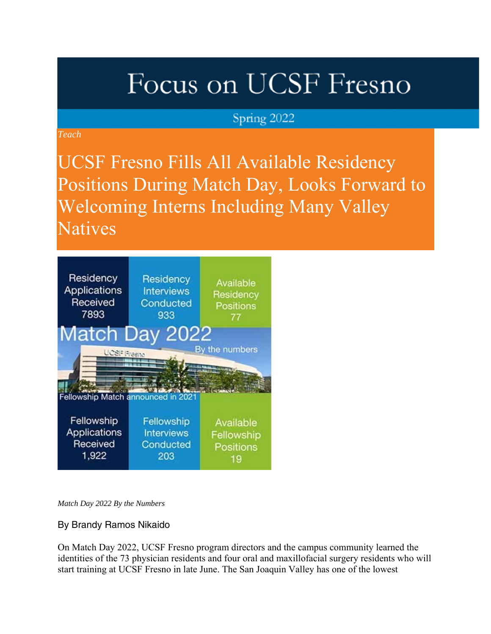# Focus on UCSF Fresno

### Spring 2022

*Teach*

UCSF Fresno Fills All Available Residency Positions During Match Day, Looks Forward to Welcoming Interns Including Many Valley **Natives** 



*Match Day 2022 By the Numbers*

By Brandy Ramos Nikaido

On Match Day 2022, UCSF Fresno program directors and the campus community learned the identities of the 73 physician residents and four oral and maxillofacial surgery residents who will start training at UCSF Fresno in late June. The San Joaquin Valley has one of the lowest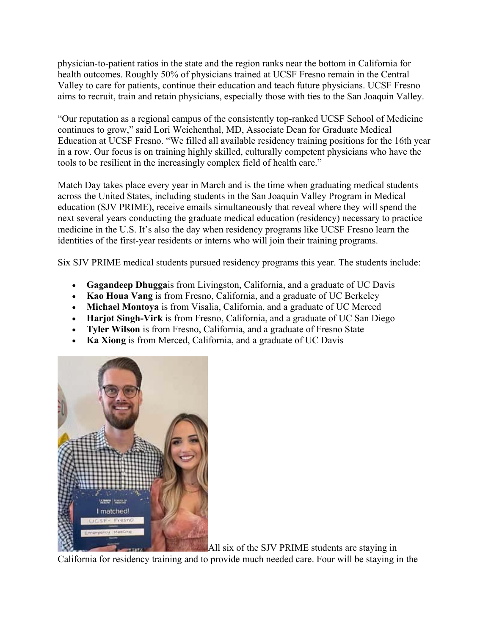physician-to-patient ratios in the state and the region ranks near the bottom in California for health outcomes. Roughly 50% of physicians trained at UCSF Fresno remain in the Central Valley to care for patients, continue their education and teach future physicians. UCSF Fresno aims to recruit, train and retain physicians, especially those with ties to the San Joaquin Valley.

"Our reputation as a regional campus of the consistently top-ranked UCSF School of Medicine continues to grow," said Lori Weichenthal, MD, Associate Dean for Graduate Medical Education at UCSF Fresno. "We filled all available residency training positions for the 16th year in a row. Our focus is on training highly skilled, culturally competent physicians who have the tools to be resilient in the increasingly complex field of health care."

Match Day takes place every year in March and is the time when graduating medical students across the United States, including students in the San Joaquin Valley Program in Medical education (SJV PRIME), receive emails simultaneously that reveal where they will spend the next several years conducting the graduate medical education (residency) necessary to practice medicine in the U.S. It's also the day when residency programs like UCSF Fresno learn the identities of the first-year residents or interns who will join their training programs.

Six SJV PRIME medical students pursued residency programs this year. The students include:

- **Gagandeep Dhugga**is from Livingston, California, and a graduate of UC Davis
- **Kao Houa Vang** is from Fresno, California, and a graduate of UC Berkeley
- **Michael Montoya** is from Visalia, California, and a graduate of UC Merced
- **Harjot Singh-Virk** is from Fresno, California, and a graduate of UC San Diego
- **Tyler Wilson** is from Fresno, California, and a graduate of Fresno State
- **Ka Xiong** is from Merced, California, and a graduate of UC Davis



All six of the SJV PRIME students are staying in California for residency training and to provide much needed care. Four will be staying in the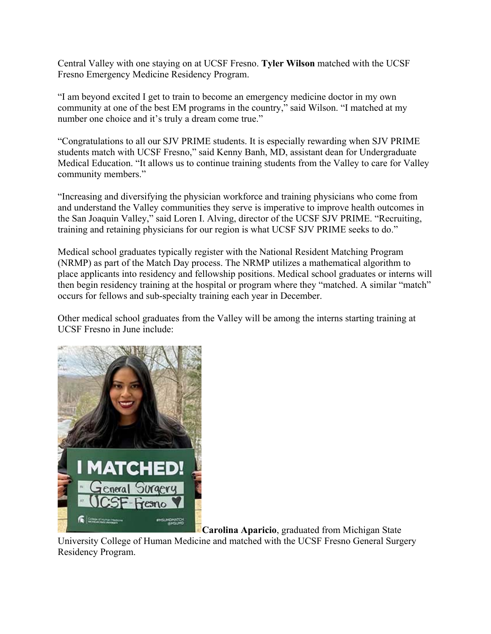Central Valley with one staying on at UCSF Fresno. **Tyler Wilson** matched with the UCSF Fresno Emergency Medicine Residency Program.

"I am beyond excited I get to train to become an emergency medicine doctor in my own community at one of the best EM programs in the country," said Wilson. "I matched at my number one choice and it's truly a dream come true."

"Congratulations to all our SJV PRIME students. It is especially rewarding when SJV PRIME students match with UCSF Fresno," said Kenny Banh, MD, assistant dean for Undergraduate Medical Education. "It allows us to continue training students from the Valley to care for Valley community members."

"Increasing and diversifying the physician workforce and training physicians who come from and understand the Valley communities they serve is imperative to improve health outcomes in the San Joaquin Valley," said Loren I. Alving, director of the UCSF SJV PRIME. "Recruiting, training and retaining physicians for our region is what UCSF SJV PRIME seeks to do."

Medical school graduates typically register with the National Resident Matching Program (NRMP) as part of the Match Day process. The NRMP utilizes a mathematical algorithm to place applicants into residency and fellowship positions. Medical school graduates or interns will then begin residency training at the hospital or program where they "matched. A similar "match" occurs for fellows and sub-specialty training each year in December.

Other medical school graduates from the Valley will be among the interns starting training at UCSF Fresno in June include:



**Carolina Aparicio**, graduated from Michigan State

University College of Human Medicine and matched with the UCSF Fresno General Surgery Residency Program.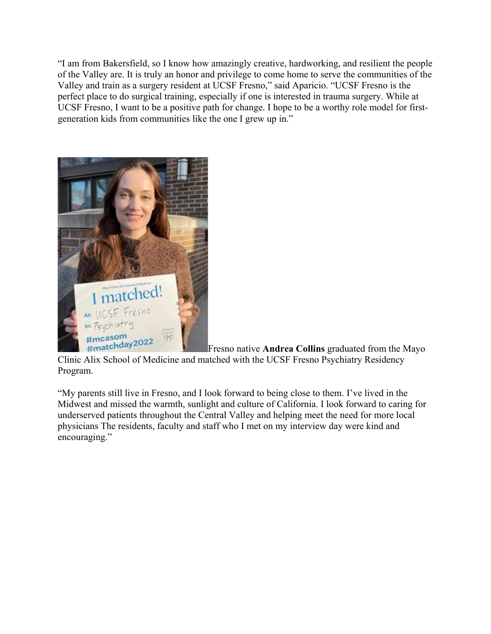"I am from Bakersfield, so I know how amazingly creative, hardworking, and resilient the people of the Valley are. It is truly an honor and privilege to come home to serve the communities of the Valley and train as a surgery resident at UCSF Fresno," said Aparicio. "UCSF Fresno is the perfect place to do surgical training, especially if one is interested in trauma surgery. While at UCSF Fresno, I want to be a positive path for change. I hope to be a worthy role model for firstgeneration kids from communities like the one I grew up in."



Fresno native **Andrea Collins** graduated from the Mayo Clinic Alix School of Medicine and matched with the UCSF Fresno Psychiatry Residency Program.

"My parents still live in Fresno, and I look forward to being close to them. I've lived in the Midwest and missed the warmth, sunlight and culture of California. I look forward to caring for underserved patients throughout the Central Valley and helping meet the need for more local physicians The residents, faculty and staff who I met on my interview day were kind and encouraging."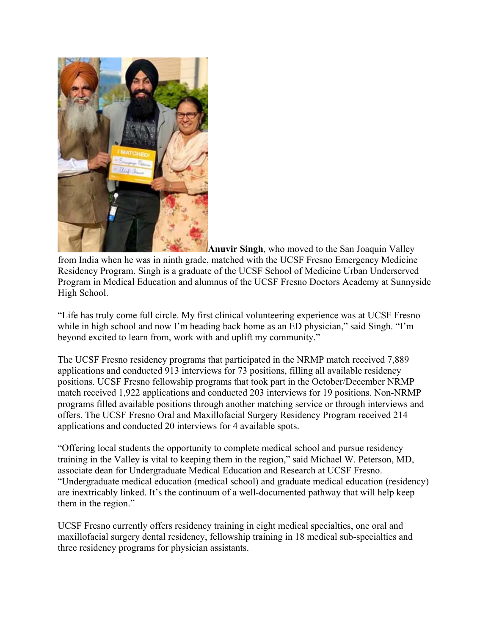

**Anuvir Singh**, who moved to the San Joaquin Valley from India when he was in ninth grade, matched with the UCSF Fresno Emergency Medicine Residency Program. Singh is a graduate of the UCSF School of Medicine Urban Underserved Program in Medical Education and alumnus of the UCSF Fresno Doctors Academy at Sunnyside High School.

"Life has truly come full circle. My first clinical volunteering experience was at UCSF Fresno while in high school and now I'm heading back home as an ED physician," said Singh. "I'm beyond excited to learn from, work with and uplift my community."

The UCSF Fresno residency programs that participated in the NRMP match received 7,889 applications and conducted 913 interviews for 73 positions, filling all available residency positions. UCSF Fresno fellowship programs that took part in the October/December NRMP match received 1,922 applications and conducted 203 interviews for 19 positions. Non-NRMP programs filled available positions through another matching service or through interviews and offers. The UCSF Fresno Oral and Maxillofacial Surgery Residency Program received 214 applications and conducted 20 interviews for 4 available spots.

"Offering local students the opportunity to complete medical school and pursue residency training in the Valley is vital to keeping them in the region," said Michael W. Peterson, MD, associate dean for Undergraduate Medical Education and Research at UCSF Fresno. "Undergraduate medical education (medical school) and graduate medical education (residency) are inextricably linked. It's the continuum of a well-documented pathway that will help keep them in the region."

UCSF Fresno currently offers residency training in eight medical specialties, one oral and maxillofacial surgery dental residency, fellowship training in 18 medical sub-specialties and three residency programs for physician assistants.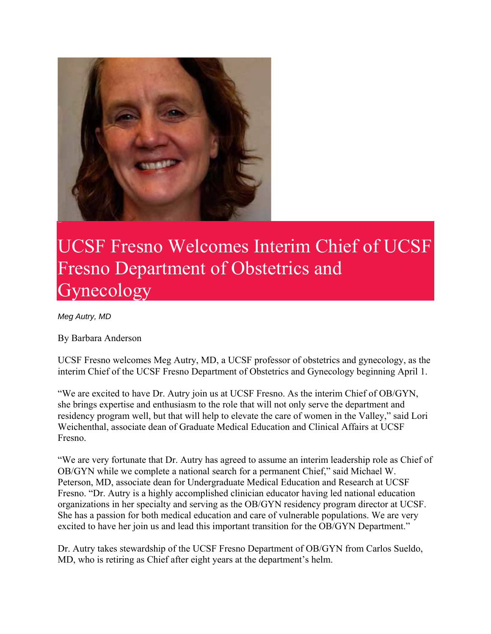

## UCSF Fresno Welcomes Interim Chief of UCSF Fresno Department of Obstetrics and Gynecology

*Meg Autry, MD*

By Barbara Anderson

UCSF Fresno welcomes Meg Autry, MD, a UCSF professor of obstetrics and gynecology, as the interim Chief of the UCSF Fresno Department of Obstetrics and Gynecology beginning April 1.

"We are excited to have Dr. Autry join us at UCSF Fresno. As the interim Chief of OB/GYN, she brings expertise and enthusiasm to the role that will not only serve the department and residency program well, but that will help to elevate the care of women in the Valley," said Lori Weichenthal, associate dean of Graduate Medical Education and Clinical Affairs at UCSF Fresno.

"We are very fortunate that Dr. Autry has agreed to assume an interim leadership role as Chief of OB/GYN while we complete a national search for a permanent Chief," said Michael W. Peterson, MD, associate dean for Undergraduate Medical Education and Research at UCSF Fresno. "Dr. Autry is a highly accomplished clinician educator having led national education organizations in her specialty and serving as the OB/GYN residency program director at UCSF. She has a passion for both medical education and care of vulnerable populations. We are very excited to have her join us and lead this important transition for the OB/GYN Department."

Dr. Autry takes stewardship of the UCSF Fresno Department of OB/GYN from Carlos Sueldo, MD, who is retiring as Chief after eight years at the department's helm.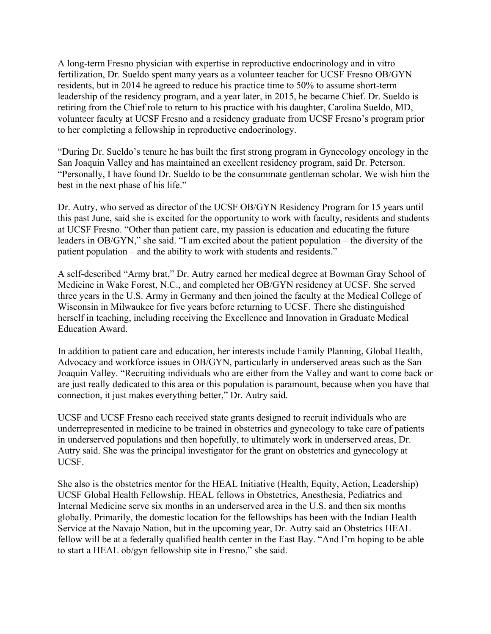A long-term Fresno physician with expertise in reproductive endocrinology and in vitro fertilization, Dr. Sueldo spent many years as a volunteer teacher for UCSF Fresno OB/GYN residents, but in 2014 he agreed to reduce his practice time to 50% to assume short-term leadership of the residency program, and a year later, in 2015, he became Chief. Dr. Sueldo is retiring from the Chief role to return to his practice with his daughter, Carolina Sueldo, MD, volunteer faculty at UCSF Fresno and a residency graduate from UCSF Fresno's program prior to her completing a fellowship in reproductive endocrinology.

"During Dr. Sueldo's tenure he has built the first strong program in Gynecology oncology in the San Joaquin Valley and has maintained an excellent residency program, said Dr. Peterson. "Personally, I have found Dr. Sueldo to be the consummate gentleman scholar. We wish him the best in the next phase of his life."

Dr. Autry, who served as director of the UCSF OB/GYN Residency Program for 15 years until this past June, said she is excited for the opportunity to work with faculty, residents and students at UCSF Fresno. "Other than patient care, my passion is education and educating the future leaders in OB/GYN," she said. "I am excited about the patient population – the diversity of the patient population – and the ability to work with students and residents."

A self-described "Army brat," Dr. Autry earned her medical degree at Bowman Gray School of Medicine in Wake Forest, N.C., and completed her OB/GYN residency at UCSF. She served three years in the U.S. Army in Germany and then joined the faculty at the Medical College of Wisconsin in Milwaukee for five years before returning to UCSF. There she distinguished herself in teaching, including receiving the Excellence and Innovation in Graduate Medical Education Award.

In addition to patient care and education, her interests include Family Planning, Global Health, Advocacy and workforce issues in OB/GYN, particularly in underserved areas such as the San Joaquin Valley. "Recruiting individuals who are either from the Valley and want to come back or are just really dedicated to this area or this population is paramount, because when you have that connection, it just makes everything better," Dr. Autry said.

UCSF and UCSF Fresno each received state grants designed to recruit individuals who are underrepresented in medicine to be trained in obstetrics and gynecology to take care of patients in underserved populations and then hopefully, to ultimately work in underserved areas, Dr. Autry said. She was the principal investigator for the grant on obstetrics and gynecology at UCSF.

She also is the obstetrics mentor for the HEAL Initiative (Health, Equity, Action, Leadership) UCSF Global Health Fellowship. HEAL fellows in Obstetrics, Anesthesia, Pediatrics and Internal Medicine serve six months in an underserved area in the U.S. and then six months globally. Primarily, the domestic location for the fellowships has been with the Indian Health Service at the Navajo Nation, but in the upcoming year, Dr. Autry said an Obstetrics HEAL fellow will be at a federally qualified health center in the East Bay. "And I'm hoping to be able to start a HEAL ob/gyn fellowship site in Fresno," she said.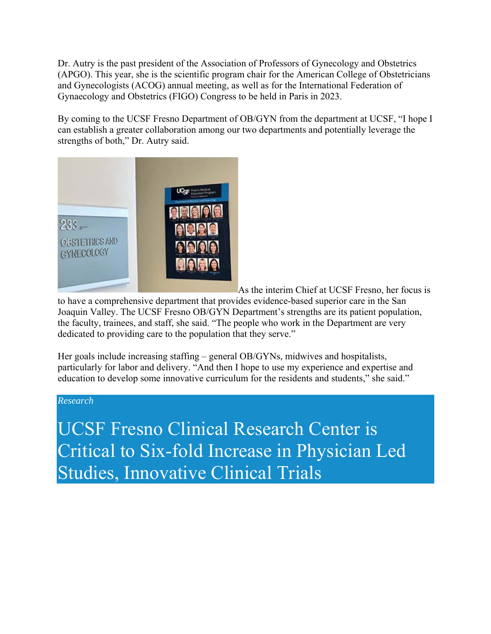Dr. Autry is the past president of the Association of Professors of Gynecology and Obstetrics (APGO). This year, she is the scientific program chair for the American College of Obstetricians and Gynecologists (ACOG) annual meeting, as well as for the International Federation of Gynaecology and Obstetrics (FIGO) Congress to be held in Paris in 2023.

By coming to the UCSF Fresno Department of OB/GYN from the department at UCSF, "I hope I can establish a greater collaboration among our two departments and potentially leverage the strengths of both," Dr. Autry said.



As the interim Chief at UCSF Fresno, her focus is

to have a comprehensive department that provides evidence-based superior care in the San Joaquin Valley. The UCSF Fresno OB/GYN Department's strengths are its patient population, the faculty, trainees, and staff, she said. "The people who work in the Department are very dedicated to providing care to the population that they serve."

Her goals include increasing staffing – general OB/GYNs, midwives and hospitalists, particularly for labor and delivery. "And then I hope to use my experience and expertise and education to develop some innovative curriculum for the residents and students," she said."

#### *Research*

UCSF Fresno Clinical Research Center is Critical to Six-fold Increase in Physician Led Studies, Innovative Clinical Trials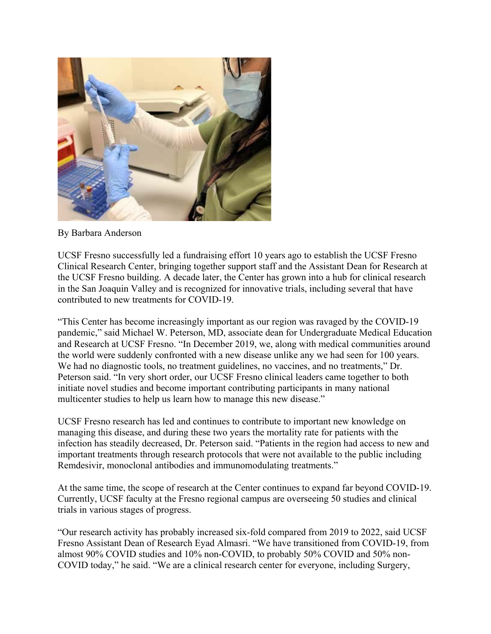

By Barbara Anderson

UCSF Fresno successfully led a fundraising effort 10 years ago to establish the UCSF Fresno Clinical Research Center, bringing together support staff and the Assistant Dean for Research at the UCSF Fresno building. A decade later, the Center has grown into a hub for clinical research in the San Joaquin Valley and is recognized for innovative trials, including several that have contributed to new treatments for COVID-19.

"This Center has become increasingly important as our region was ravaged by the COVID-19 pandemic," said Michael W. Peterson, MD, associate dean for Undergraduate Medical Education and Research at UCSF Fresno. "In December 2019, we, along with medical communities around the world were suddenly confronted with a new disease unlike any we had seen for 100 years. We had no diagnostic tools, no treatment guidelines, no vaccines, and no treatments," Dr. Peterson said. "In very short order, our UCSF Fresno clinical leaders came together to both initiate novel studies and become important contributing participants in many national multicenter studies to help us learn how to manage this new disease."

UCSF Fresno research has led and continues to contribute to important new knowledge on managing this disease, and during these two years the mortality rate for patients with the infection has steadily decreased, Dr. Peterson said. "Patients in the region had access to new and important treatments through research protocols that were not available to the public including Remdesivir, monoclonal antibodies and immunomodulating treatments."

At the same time, the scope of research at the Center continues to expand far beyond COVID-19. Currently, UCSF faculty at the Fresno regional campus are overseeing 50 studies and clinical trials in various stages of progress.

"Our research activity has probably increased six-fold compared from 2019 to 2022, said UCSF Fresno Assistant Dean of Research Eyad Almasri. "We have transitioned from COVID-19, from almost 90% COVID studies and 10% non-COVID, to probably 50% COVID and 50% non-COVID today," he said. "We are a clinical research center for everyone, including Surgery,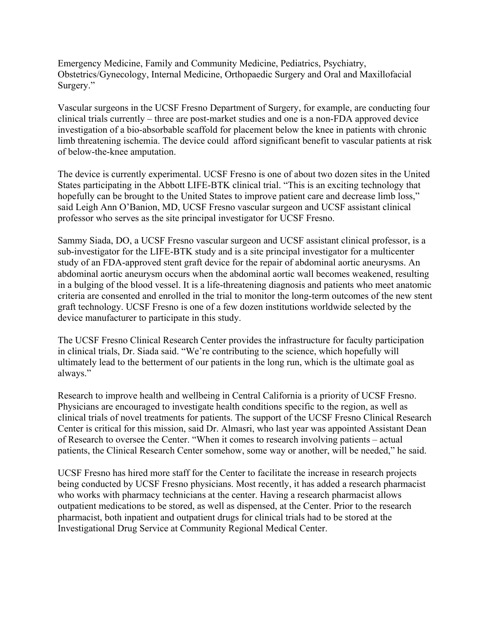Emergency Medicine, Family and Community Medicine, Pediatrics, Psychiatry, Obstetrics/Gynecology, Internal Medicine, Orthopaedic Surgery and Oral and Maxillofacial Surgery."

Vascular surgeons in the UCSF Fresno Department of Surgery, for example, are conducting four clinical trials currently – three are post-market studies and one is a non-FDA approved device investigation of a bio-absorbable scaffold for placement below the knee in patients with chronic limb threatening ischemia. The device could afford significant benefit to vascular patients at risk of below-the-knee amputation.

The device is currently experimental. UCSF Fresno is one of about two dozen sites in the United States participating in the Abbott LIFE-BTK clinical trial. "This is an exciting technology that hopefully can be brought to the United States to improve patient care and decrease limb loss," said Leigh Ann O'Banion, MD, UCSF Fresno vascular surgeon and UCSF assistant clinical professor who serves as the site principal investigator for UCSF Fresno.

Sammy Siada, DO, a UCSF Fresno vascular surgeon and UCSF assistant clinical professor, is a sub-investigator for the LIFE-BTK study and is a site principal investigator for a multicenter study of an FDA-approved stent graft device for the repair of abdominal aortic aneurysms. An abdominal aortic aneurysm occurs when the abdominal aortic wall becomes weakened, resulting in a bulging of the blood vessel. It is a life-threatening diagnosis and patients who meet anatomic criteria are consented and enrolled in the trial to monitor the long-term outcomes of the new stent graft technology. UCSF Fresno is one of a few dozen institutions worldwide selected by the device manufacturer to participate in this study.

The UCSF Fresno Clinical Research Center provides the infrastructure for faculty participation in clinical trials, Dr. Siada said. "We're contributing to the science, which hopefully will ultimately lead to the betterment of our patients in the long run, which is the ultimate goal as always."

Research to improve health and wellbeing in Central California is a priority of UCSF Fresno. Physicians are encouraged to investigate health conditions specific to the region, as well as clinical trials of novel treatments for patients. The support of the UCSF Fresno Clinical Research Center is critical for this mission, said Dr. Almasri, who last year was appointed Assistant Dean of Research to oversee the Center. "When it comes to research involving patients – actual patients, the Clinical Research Center somehow, some way or another, will be needed," he said.

UCSF Fresno has hired more staff for the Center to facilitate the increase in research projects being conducted by UCSF Fresno physicians. Most recently, it has added a research pharmacist who works with pharmacy technicians at the center. Having a research pharmacist allows outpatient medications to be stored, as well as dispensed, at the Center. Prior to the research pharmacist, both inpatient and outpatient drugs for clinical trials had to be stored at the Investigational Drug Service at Community Regional Medical Center.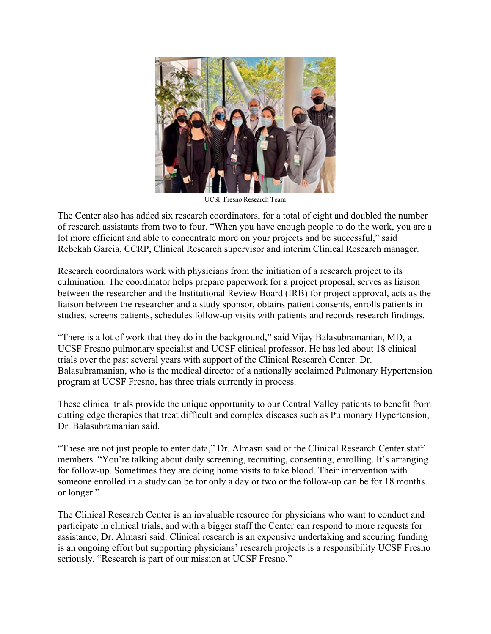

UCSF Fresno Research Team

The Center also has added six research coordinators, for a total of eight and doubled the number of research assistants from two to four. "When you have enough people to do the work, you are a lot more efficient and able to concentrate more on your projects and be successful," said Rebekah Garcia, CCRP, Clinical Research supervisor and interim Clinical Research manager.

Research coordinators work with physicians from the initiation of a research project to its culmination. The coordinator helps prepare paperwork for a project proposal, serves as liaison between the researcher and the Institutional Review Board (IRB) for project approval, acts as the liaison between the researcher and a study sponsor, obtains patient consents, enrolls patients in studies, screens patients, schedules follow-up visits with patients and records research findings.

"There is a lot of work that they do in the background," said Vijay Balasubramanian, MD, a UCSF Fresno pulmonary specialist and UCSF clinical professor. He has led about 18 clinical trials over the past several years with support of the Clinical Research Center. Dr. Balasubramanian, who is the medical director of a nationally acclaimed Pulmonary Hypertension program at UCSF Fresno, has three trials currently in process.

These clinical trials provide the unique opportunity to our Central Valley patients to benefit from cutting edge therapies that treat difficult and complex diseases such as Pulmonary Hypertension, Dr. Balasubramanian said.

"These are not just people to enter data," Dr. Almasri said of the Clinical Research Center staff members. "You're talking about daily screening, recruiting, consenting, enrolling. It's arranging for follow-up. Sometimes they are doing home visits to take blood. Their intervention with someone enrolled in a study can be for only a day or two or the follow-up can be for 18 months or longer."

The Clinical Research Center is an invaluable resource for physicians who want to conduct and participate in clinical trials, and with a bigger staff the Center can respond to more requests for assistance, Dr. Almasri said. Clinical research is an expensive undertaking and securing funding is an ongoing effort but supporting physicians' research projects is a responsibility UCSF Fresno seriously. "Research is part of our mission at UCSF Fresno."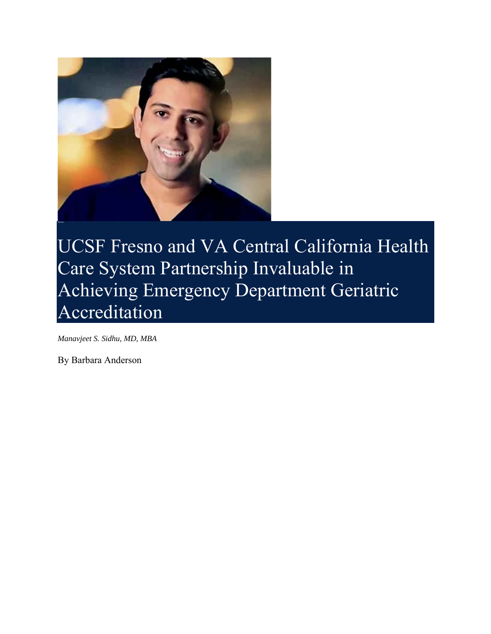

UCSF Fresno and VA Central California Health Care System Partnership Invaluable in Achieving Emergency Department Geriatric Accreditation

*Manavjeet S. Sidhu, MD, MBA*

By Barbara Anderson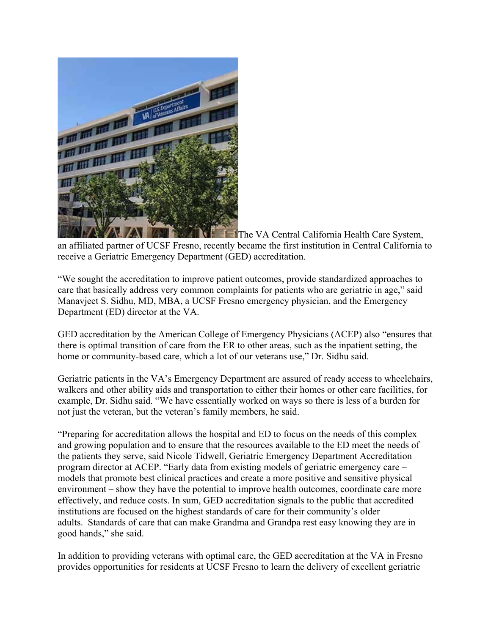

**The VA Central California Health Care System,** an affiliated partner of UCSF Fresno, recently became the first institution in Central California to receive a Geriatric Emergency Department (GED) accreditation.

"We sought the accreditation to improve patient outcomes, provide standardized approaches to care that basically address very common complaints for patients who are geriatric in age," said Manavjeet S. Sidhu, MD, MBA, a UCSF Fresno emergency physician, and the Emergency Department (ED) director at the VA.

GED accreditation by the American College of Emergency Physicians (ACEP) also "ensures that there is optimal transition of care from the ER to other areas, such as the inpatient setting, the home or community-based care, which a lot of our veterans use," Dr. Sidhu said.

Geriatric patients in the VA's Emergency Department are assured of ready access to wheelchairs, walkers and other ability aids and transportation to either their homes or other care facilities, for example, Dr. Sidhu said. "We have essentially worked on ways so there is less of a burden for not just the veteran, but the veteran's family members, he said.

"Preparing for accreditation allows the hospital and ED to focus on the needs of this complex and growing population and to ensure that the resources available to the ED meet the needs of the patients they serve, said Nicole Tidwell, Geriatric Emergency Department Accreditation program director at ACEP. "Early data from existing models of geriatric emergency care – models that promote best clinical practices and create a more positive and sensitive physical environment – show they have the potential to improve health outcomes, coordinate care more effectively, and reduce costs. In sum, GED accreditation signals to the public that accredited institutions are focused on the highest standards of care for their community's older adults. Standards of care that can make Grandma and Grandpa rest easy knowing they are in good hands," she said.

In addition to providing veterans with optimal care, the GED accreditation at the VA in Fresno provides opportunities for residents at UCSF Fresno to learn the delivery of excellent geriatric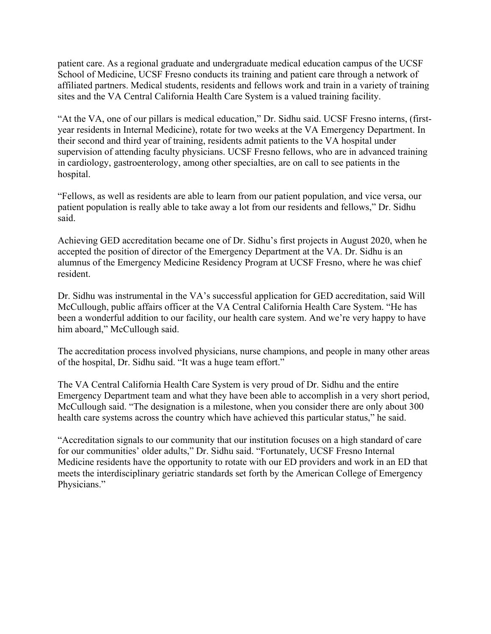patient care. As a regional graduate and undergraduate medical education campus of the UCSF School of Medicine, UCSF Fresno conducts its training and patient care through a network of affiliated partners. Medical students, residents and fellows work and train in a variety of training sites and the VA Central California Health Care System is a valued training facility.

"At the VA, one of our pillars is medical education," Dr. Sidhu said. UCSF Fresno interns, (firstyear residents in Internal Medicine), rotate for two weeks at the VA Emergency Department. In their second and third year of training, residents admit patients to the VA hospital under supervision of attending faculty physicians. UCSF Fresno fellows, who are in advanced training in cardiology, gastroenterology, among other specialties, are on call to see patients in the hospital.

"Fellows, as well as residents are able to learn from our patient population, and vice versa, our patient population is really able to take away a lot from our residents and fellows," Dr. Sidhu said.

Achieving GED accreditation became one of Dr. Sidhu's first projects in August 2020, when he accepted the position of director of the Emergency Department at the VA. Dr. Sidhu is an alumnus of the Emergency Medicine Residency Program at UCSF Fresno, where he was chief resident.

Dr. Sidhu was instrumental in the VA's successful application for GED accreditation, said Will McCullough, public affairs officer at the VA Central California Health Care System. "He has been a wonderful addition to our facility, our health care system. And we're very happy to have him aboard," McCullough said.

The accreditation process involved physicians, nurse champions, and people in many other areas of the hospital, Dr. Sidhu said. "It was a huge team effort."

The VA Central California Health Care System is very proud of Dr. Sidhu and the entire Emergency Department team and what they have been able to accomplish in a very short period, McCullough said. "The designation is a milestone, when you consider there are only about 300 health care systems across the country which have achieved this particular status," he said.

"Accreditation signals to our community that our institution focuses on a high standard of care for our communities' older adults," Dr. Sidhu said. "Fortunately, UCSF Fresno Internal Medicine residents have the opportunity to rotate with our ED providers and work in an ED that meets the interdisciplinary geriatric standards set forth by the American College of Emergency Physicians."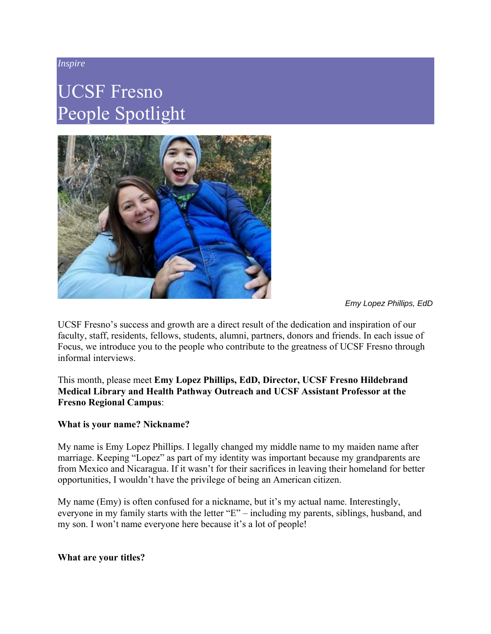#### *Inspire*

## UCSF Fresno People Spotlight



*Emy Lopez Phillips, EdD*

UCSF Fresno's success and growth are a direct result of the dedication and inspiration of our faculty, staff, residents, fellows, students, alumni, partners, donors and friends. In each issue of Focus, we introduce you to the people who contribute to the greatness of UCSF Fresno through informal interviews.

#### This month, please meet **Emy Lopez Phillips, EdD, Director, UCSF Fresno Hildebrand Medical Library and Health Pathway Outreach and UCSF Assistant Professor at the Fresno Regional Campus**:

#### **What is your name? Nickname?**

My name is Emy Lopez Phillips. I legally changed my middle name to my maiden name after marriage. Keeping "Lopez" as part of my identity was important because my grandparents are from Mexico and Nicaragua. If it wasn't for their sacrifices in leaving their homeland for better opportunities, I wouldn't have the privilege of being an American citizen.

My name (Emy) is often confused for a nickname, but it's my actual name. Interestingly, everyone in my family starts with the letter "E" – including my parents, siblings, husband, and my son. I won't name everyone here because it's a lot of people!

#### **What are your titles?**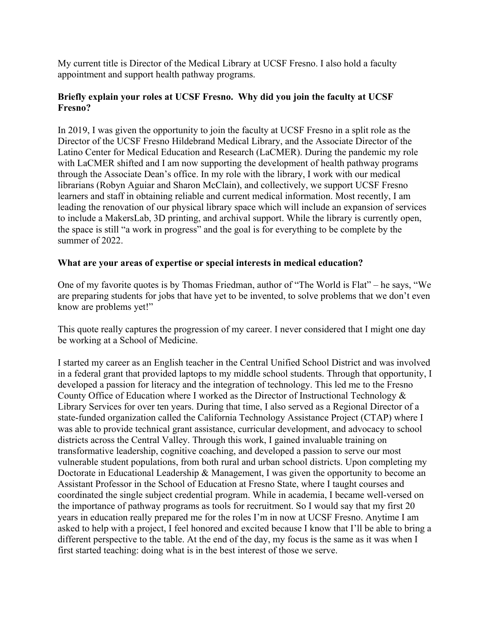My current title is Director of the Medical Library at UCSF Fresno. I also hold a faculty appointment and support health pathway programs.

#### **Briefly explain your roles at UCSF Fresno. Why did you join the faculty at UCSF Fresno?**

In 2019, I was given the opportunity to join the faculty at UCSF Fresno in a split role as the Director of the UCSF Fresno Hildebrand Medical Library, and the Associate Director of the Latino Center for Medical Education and Research (LaCMER). During the pandemic my role with LaCMER shifted and I am now supporting the development of health pathway programs through the Associate Dean's office. In my role with the library, I work with our medical librarians (Robyn Aguiar and Sharon McClain), and collectively, we support UCSF Fresno learners and staff in obtaining reliable and current medical information. Most recently, I am leading the renovation of our physical library space which will include an expansion of services to include a MakersLab, 3D printing, and archival support. While the library is currently open, the space is still "a work in progress" and the goal is for everything to be complete by the summer of 2022.

#### **What are your areas of expertise or special interests in medical education?**

One of my favorite quotes is by Thomas Friedman, author of "The World is Flat" – he says, "We are preparing students for jobs that have yet to be invented, to solve problems that we don't even know are problems yet!"

This quote really captures the progression of my career. I never considered that I might one day be working at a School of Medicine.

I started my career as an English teacher in the Central Unified School District and was involved in a federal grant that provided laptops to my middle school students. Through that opportunity, I developed a passion for literacy and the integration of technology. This led me to the Fresno County Office of Education where I worked as the Director of Instructional Technology & Library Services for over ten years. During that time, I also served as a Regional Director of a state-funded organization called the California Technology Assistance Project (CTAP) where I was able to provide technical grant assistance, curricular development, and advocacy to school districts across the Central Valley. Through this work, I gained invaluable training on transformative leadership, cognitive coaching, and developed a passion to serve our most vulnerable student populations, from both rural and urban school districts. Upon completing my Doctorate in Educational Leadership & Management, I was given the opportunity to become an Assistant Professor in the School of Education at Fresno State, where I taught courses and coordinated the single subject credential program. While in academia, I became well-versed on the importance of pathway programs as tools for recruitment. So I would say that my first 20 years in education really prepared me for the roles I'm in now at UCSF Fresno. Anytime I am asked to help with a project, I feel honored and excited because I know that I'll be able to bring a different perspective to the table. At the end of the day, my focus is the same as it was when I first started teaching: doing what is in the best interest of those we serve.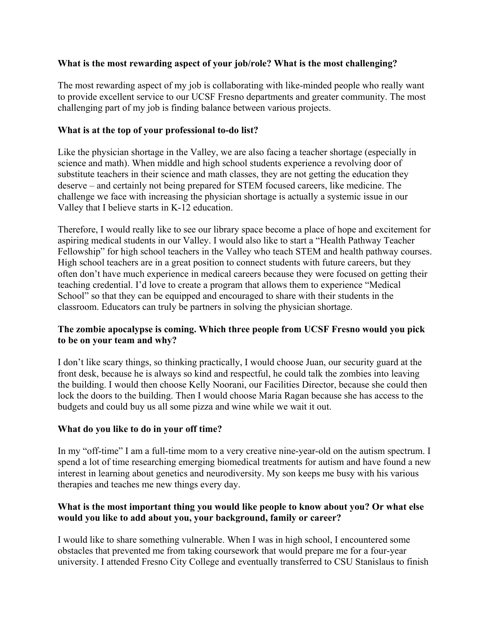#### **What is the most rewarding aspect of your job/role? What is the most challenging?**

The most rewarding aspect of my job is collaborating with like-minded people who really want to provide excellent service to our UCSF Fresno departments and greater community. The most challenging part of my job is finding balance between various projects.

#### **What is at the top of your professional to-do list?**

Like the physician shortage in the Valley, we are also facing a teacher shortage (especially in science and math). When middle and high school students experience a revolving door of substitute teachers in their science and math classes, they are not getting the education they deserve – and certainly not being prepared for STEM focused careers, like medicine. The challenge we face with increasing the physician shortage is actually a systemic issue in our Valley that I believe starts in K-12 education.

Therefore, I would really like to see our library space become a place of hope and excitement for aspiring medical students in our Valley. I would also like to start a "Health Pathway Teacher Fellowship" for high school teachers in the Valley who teach STEM and health pathway courses. High school teachers are in a great position to connect students with future careers, but they often don't have much experience in medical careers because they were focused on getting their teaching credential. I'd love to create a program that allows them to experience "Medical School" so that they can be equipped and encouraged to share with their students in the classroom. Educators can truly be partners in solving the physician shortage.

#### **The zombie apocalypse is coming. Which three people from UCSF Fresno would you pick to be on your team and why?**

I don't like scary things, so thinking practically, I would choose Juan, our security guard at the front desk, because he is always so kind and respectful, he could talk the zombies into leaving the building. I would then choose Kelly Noorani, our Facilities Director, because she could then lock the doors to the building. Then I would choose Maria Ragan because she has access to the budgets and could buy us all some pizza and wine while we wait it out.

#### **What do you like to do in your off time?**

In my "off-time" I am a full-time mom to a very creative nine-year-old on the autism spectrum. I spend a lot of time researching emerging biomedical treatments for autism and have found a new interest in learning about genetics and neurodiversity. My son keeps me busy with his various therapies and teaches me new things every day.

#### **What is the most important thing you would like people to know about you? Or what else would you like to add about you, your background, family or career?**

I would like to share something vulnerable. When I was in high school, I encountered some obstacles that prevented me from taking coursework that would prepare me for a four-year university. I attended Fresno City College and eventually transferred to CSU Stanislaus to finish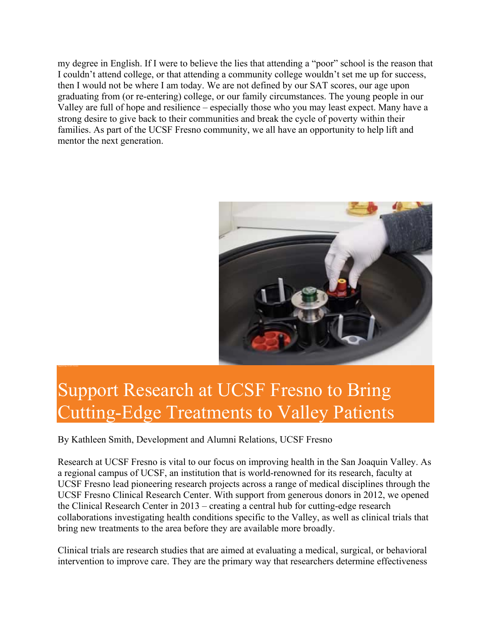my degree in English. If I were to believe the lies that attending a "poor" school is the reason that I couldn't attend college, or that attending a community college wouldn't set me up for success, then I would not be where I am today. We are not defined by our SAT scores, our age upon graduating from (or re-entering) college, or our family circumstances. The young people in our Valley are full of hope and resilience – especially those who you may least expect. Many have a strong desire to give back to their communities and break the cycle of poverty within their families. As part of the UCSF Fresno community, we all have an opportunity to help lift and mentor the next generation.



## Support Research at UCSF Fresno to Bring Cutting-Edge Treatments to Valley Patients

By Kathleen Smith, Development and Alumni Relations, UCSF Fresno

Research at UCSF Fresno is vital to our focus on improving health in the San Joaquin Valley. As a regional campus of UCSF, an institution that is world-renowned for its research, faculty at UCSF Fresno lead pioneering research projects across a range of medical disciplines through the UCSF Fresno Clinical Research Center. With support from generous donors in 2012, we opened the Clinical Research Center in 2013 – creating a central hub for cutting-edge research collaborations investigating health conditions specific to the Valley, as well as clinical trials that bring new treatments to the area before they are available more broadly.

Clinical trials are research studies that are aimed at evaluating a medical, surgical, or behavioral intervention to improve care. They are the primary way that researchers determine effectiveness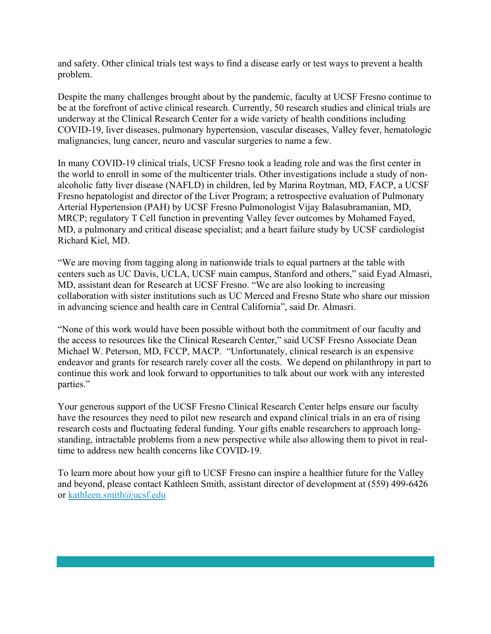and safety. Other clinical trials test ways to find a disease early or test ways to prevent a health problem.

Despite the many challenges brought about by the pandemic, faculty at UCSF Fresno continue to be at the forefront of active clinical research. Currently, 50 research studies and clinical trials are underway at the Clinical Research Center for a wide variety of health conditions including COVID-19, liver diseases, pulmonary hypertension, vascular diseases, Valley fever, hematologic malignancies, lung cancer, neuro and vascular surgeries to name a few.

In many COVID-19 clinical trials, UCSF Fresno took a leading role and was the first center in the world to enroll in some of the multicenter trials. Other investigations include a study of nonalcoholic fatty liver disease (NAFLD) in children, led by Marina Roytman, MD, FACP, a UCSF Fresno hepatologist and director of the Liver Program; a retrospective evaluation of Pulmonary Arterial Hypertension (PAH) by UCSF Fresno Pulmonologist Vijay Balasubramanian, MD, MRCP; regulatory T Cell function in preventing Valley fever outcomes by Mohamed Fayed, MD, a pulmonary and critical disease specialist; and a heart failure study by UCSF cardiologist Richard Kiel, MD.

"We are moving from tagging along in nationwide trials to equal partners at the table with centers such as UC Davis, UCLA, UCSF main campus, Stanford and others," said Eyad Almasri, MD, assistant dean for Research at UCSF Fresno. "We are also looking to increasing collaboration with sister institutions such as UC Merced and Fresno State who share our mission in advancing science and health care in Central California", said Dr. Almasri.

"None of this work would have been possible without both the commitment of our faculty and the access to resources like the Clinical Research Center," said UCSF Fresno Associate Dean Michael W. Peterson, MD, FCCP, MACP. "Unfortunately, clinical research is an expensive endeavor and grants for research rarely cover all the costs. We depend on philanthropy in part to continue this work and look forward to opportunities to talk about our work with any interested parties."

Your generous support of the UCSF Fresno Clinical Research Center helps ensure our faculty have the resources they need to pilot new research and expand clinical trials in an era of rising research costs and fluctuating federal funding. Your gifts enable researchers to approach longstanding, intractable problems from a new perspective while also allowing them to pivot in realtime to address new health concerns like COVID-19.

To learn more about how your gift to UCSF Fresno can inspire a healthier future for the Valley and beyond, please contact Kathleen Smith, assistant director of development at (559) 499-6426 or kathleen.smith@ucsf.edu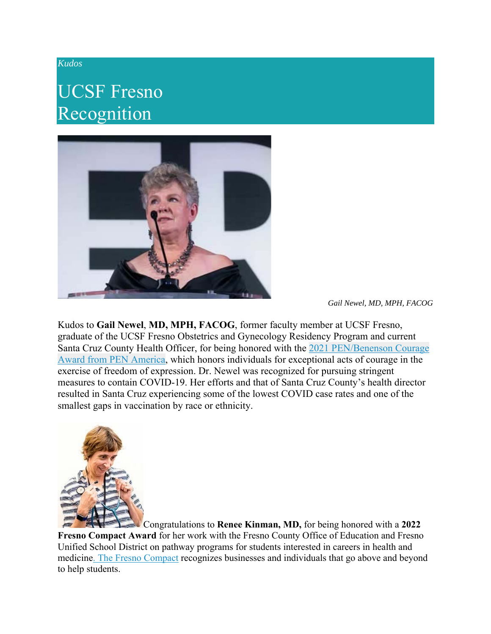#### *Kudos*

### UCSF Fresno Recognition



*Gail Newel, MD, MPH, FACOG*

Kudos to **Gail Newel**, **MD, MPH, FACOG**, former faculty member at UCSF Fresno, graduate of the UCSF Fresno Obstetrics and Gynecology Residency Program and current Santa Cruz County Health Officer, for being honored with the 2021 PEN/Benenson Courage Award from PEN America, which honors individuals for exceptional acts of courage in the exercise of freedom of expression. Dr. Newel was recognized for pursuing stringent measures to contain COVID-19. Her efforts and that of Santa Cruz County's health director resulted in Santa Cruz experiencing some of the lowest COVID case rates and one of the smallest gaps in vaccination by race or ethnicity.



Congratulations to **Renee Kinman, MD,** for being honored with a **2022 Fresno Compact Award** for her work with the Fresno County Office of Education and Fresno Unified School District on pathway programs for students interested in careers in health and medicine. The Fresno Compact recognizes businesses and individuals that go above and beyond to help students.